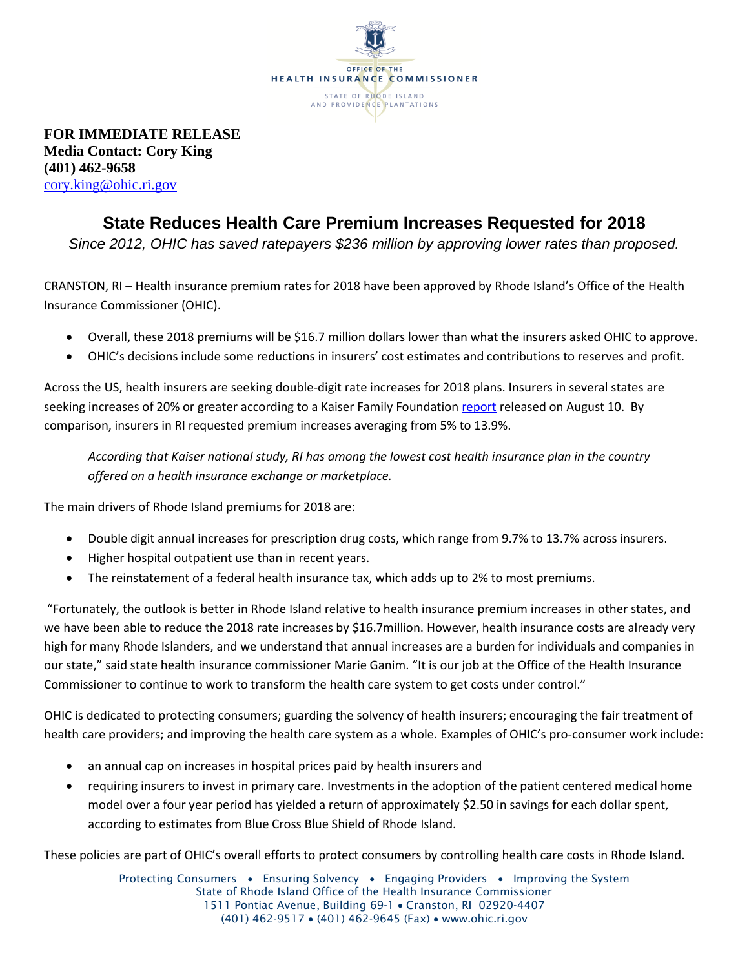

**FOR IMMEDIATE RELEASE Media Contact: Cory King (401) 462-9658** [cory.king@ohic.ri.gov](mailto:cory.king@ohic.ri.gov)

## **State Reduces Health Care Premium Increases Requested for 2018**

*Since 2012, OHIC has saved ratepayers \$236 million by approving lower rates than proposed.*

CRANSTON, RI – Health insurance premium rates for 2018 have been approved by Rhode Island's Office of the Health Insurance Commissioner (OHIC).

- Overall, these 2018 premiums will be \$16.7 million dollars lower than what the insurers asked OHIC to approve.
- OHIC's decisions include some reductions in insurers' cost estimates and contributions to reserves and profit.

Across the US, health insurers are seeking double-digit rate increases for 2018 plans. Insurers in several states are seeking increases of 20% or greater according to a Kaiser Family Foundatio[n report](http://www.kff.org/health-reform/issue-brief/an-early-look-at-2018-premium-changes-and-insurer-participation-on-aca-exchanges/) released on August 10. By comparison, insurers in RI requested premium increases averaging from 5% to 13.9%.

*According that Kaiser national study, RI has among the lowest cost health insurance plan in the country offered on a health insurance exchange or marketplace.* 

The main drivers of Rhode Island premiums for 2018 are:

- Double digit annual increases for prescription drug costs, which range from 9.7% to 13.7% across insurers.
- Higher hospital outpatient use than in recent years.
- The reinstatement of a federal health insurance tax, which adds up to 2% to most premiums.

"Fortunately, the outlook is better in Rhode Island relative to health insurance premium increases in other states, and we have been able to reduce the 2018 rate increases by \$16.7million. However, health insurance costs are already very high for many Rhode Islanders, and we understand that annual increases are a burden for individuals and companies in our state," said state health insurance commissioner Marie Ganim. "It is our job at the Office of the Health Insurance Commissioner to continue to work to transform the health care system to get costs under control."

OHIC is dedicated to protecting consumers; guarding the solvency of health insurers; encouraging the fair treatment of health care providers; and improving the health care system as a whole. Examples of OHIC's pro-consumer work include:

- an annual cap on increases in hospital prices paid by health insurers and
- requiring insurers to invest in primary care. Investments in the adoption of the patient centered medical home model over a four year period has yielded a return of approximately \$2.50 in savings for each dollar spent, according to estimates from Blue Cross Blue Shield of Rhode Island.

These policies are part of OHIC's overall efforts to protect consumers by controlling health care costs in Rhode Island.

Protecting Consumers • Ensuring Solvency • Engaging Providers • Improving the System State of Rhode Island Office of the Health Insurance Commissioner 1511 Pontiac Avenue, Building 69-1 . Cranston, RI 02920-4407 (401) 462-9517 • (401) 462-9645 (Fax) • www.ohic.ri.gov